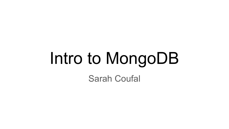# Intro to MongoDB

Sarah Coufal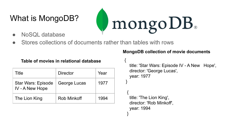# What is MongoDB?



● Stores collections of documents rather than tables with rows

#### **Table of movies in relational database**

| Title                                        | <b>Director</b>    | Year |
|----------------------------------------------|--------------------|------|
| <b>Star Wars: Episode</b><br>IV - A New Hope | George Lucas       | 1977 |
| The Lion King                                | <b>Rob Minkoff</b> | 1994 |

#### **MongoDB collection of movie documents**

mongoDB.

```
{
   title: 'Star Wars: Episode IV - A New Hope',
   director: 'George Lucas',
   year: 1977
```

```
 {
   title: 'The Lion King',
   director: 'Rob Minkoff',
   year: 1994
 }
```
}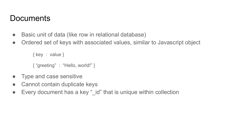#### **Documents**

- Basic unit of data (like row in relational database)
- Ordered set of keys with associated values, similar to Javascript object

{ key : value }

{ "greeting" : "Hello, world!" }

- Type and case sensitive
- Cannot contain duplicate keys
- Every document has a key "\_id" that is unique within collection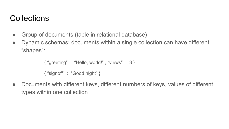## **Collections**

- Group of documents (table in relational database)
- Dynamic schemas: documents within a single collection can have different "shapes":

```
{ "greeting" : "Hello, world!" , "views" : 3 }
{ "signoff" : "Good night" }
```
● Documents with different keys, different numbers of keys, values of different types within one collection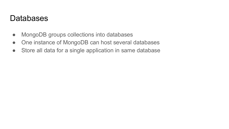#### Databases

- MongoDB groups collections into databases
- One instance of MongoDB can host several databases
- Store all data for a single application in same database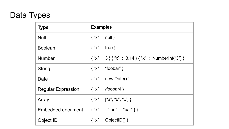# Data Types

| <b>Type</b>               | <b>Examples</b>                                        |
|---------------------------|--------------------------------------------------------|
| <b>Null</b>               | $\{$ "x" : null }                                      |
| <b>Boolean</b>            | $\{$ "x" : true }                                      |
| <b>Number</b>             | $\{$ "x" : 3 } { "x" : 3.14 } { "x" : Numberlnt("3") } |
| <b>String</b>             | $\{$ "x" : "foobar" }                                  |
| Date                      | $\{$ "x" : new Date() }                                |
| <b>Regular Expression</b> | $\{$ "x" : /foobar/i }                                 |
| Array                     | $\{$ "x" : ["a", "b", "c"] }                           |
| Embedded document         | $\{$ "x" : { "foo" : "bar" } }                         |
| Object ID                 | $\{$ "x" : ObjectID() }                                |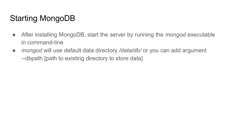# Starting MongoDB

- After installing MongoDB, start the server by running the *mongod* executable in command-line
- *● mongod* will use default data directory */data/db/* or you can add argument --dbpath [path to existing directory to store data]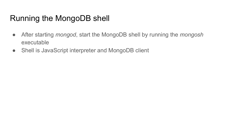## Running the MongoDB shell

- After starting *mongod*, start the MongoDB shell by running the *mongosh*  executable
- Shell is JavaScript interpreter and MongoDB client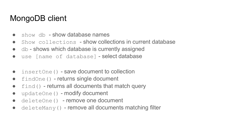## MongoDB client

- $\bullet$  show db show database names
- Show collections show collections in current database
- $\bullet$  db shows which database is currently assigned
- use [name of database] select database
- insertOne() save document to collection
- findOne() returns single document
- $\bullet$   $\pm$  find() returns all documents that match query
- $\bullet$  updateOne() modify document
- deleteOne() remove one document
- $\bullet$  deleteMany() remove all documents matching filter